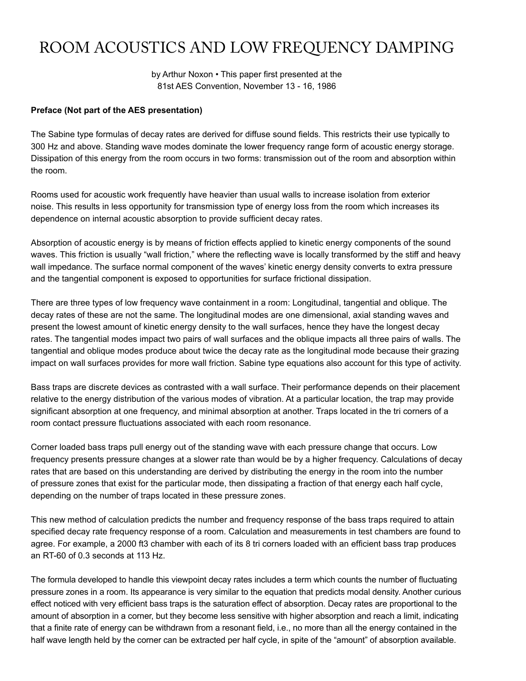# ROOM ACOUSTICS AND LOW FREQUENCY DAMPING

by Arthur Noxon • This paper first presented at the 81st AES Convention, November 13 - 16, 1986

#### **Preface (Not part of the AES presentation)**

The Sabine type formulas of decay rates are derived for diffuse sound fields. This restricts their use typically to 300 Hz and above. Standing wave modes dominate the lower frequency range form of acoustic energy storage. Dissipation of this energy from the room occurs in two forms: transmission out of the room and absorption within the room.

Rooms used for acoustic work frequently have heavier than usual walls to increase isolation from exterior noise. This results in less opportunity for transmission type of energy loss from the room which increases its dependence on internal acoustic absorption to provide sufficient decay rates.

Absorption of acoustic energy is by means of friction effects applied to kinetic energy components of the sound waves. This friction is usually "wall friction," where the reflecting wave is locally transformed by the stiff and heavy wall impedance. The surface normal component of the waves' kinetic energy density converts to extra pressure and the tangential component is exposed to opportunities for surface frictional dissipation.

There are three types of low frequency wave containment in a room: Longitudinal, tangential and oblique. The decay rates of these are not the same. The longitudinal modes are one dimensional, axial standing waves and present the lowest amount of kinetic energy density to the wall surfaces, hence they have the longest decay rates. The tangential modes impact two pairs of wall surfaces and the oblique impacts all three pairs of walls. The tangential and oblique modes produce about twice the decay rate as the longitudinal mode because their grazing impact on wall surfaces provides for more wall friction. Sabine type equations also account for this type of activity.

Bass traps are discrete devices as contrasted with a wall surface. Their performance depends on their placement relative to the energy distribution of the various modes of vibration. At a particular location, the trap may provide significant absorption at one frequency, and minimal absorption at another. Traps located in the tri corners of a room contact pressure fluctuations associated with each room resonance.

Corner loaded bass traps pull energy out of the standing wave with each pressure change that occurs. Low frequency presents pressure changes at a slower rate than would be by a higher frequency. Calculations of decay rates that are based on this understanding are derived by distributing the energy in the room into the number of pressure zones that exist for the particular mode, then dissipating a fraction of that energy each half cycle, depending on the number of traps located in these pressure zones.

This new method of calculation predicts the number and frequency response of the bass traps required to attain specified decay rate frequency response of a room. Calculation and measurements in test chambers are found to agree. For example, a 2000 ft3 chamber with each of its 8 tri corners loaded with an efficient bass trap produces an RT-60 of 0.3 seconds at 113 Hz.

The formula developed to handle this viewpoint decay rates includes a term which counts the number of fluctuating pressure zones in a room. Its appearance is very similar to the equation that predicts modal density. Another curious effect noticed with very efficient bass traps is the saturation effect of absorption. Decay rates are proportional to the amount of absorption in a corner, but they become less sensitive with higher absorption and reach a limit, indicating that a finite rate of energy can be withdrawn from a resonant field, i.e., no more than all the energy contained in the half wave length held by the corner can be extracted per half cycle, in spite of the "amount" of absorption available.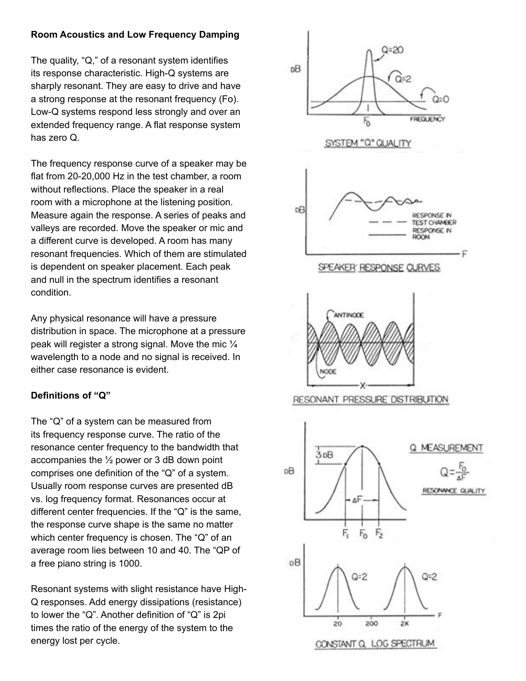## **Room Acoustics and Low Frequency Damping**

The quality, "Q," of a resonant system identifies its response characteristic. High-Q systems are sharply resonant. They are easy to drive and have a strong response at the resonant frequency (Fo). Low-Q systems respond less strongly and over an extended frequency range. A flat response system has zero Q.

The frequency response curve of a speaker may be flat from 20-20,000 Hz in the test chamber, a room without reflections. Place the speaker in a real room with a microphone at the listening position. Measure again the response. A series of peaks and valleys are recorded. Move the speaker or mic and a different curve is developed. A room has many resonant frequencies. Which of them are stimulated is dependent on speaker placement. Each peak and null in the spectrum identifies a resonant condition.

Any physical resonance will have a pressure distribution in space. The microphone at a pressure peak will register a strong signal. Move the mic ¼ wavelength to a node and no signal is received. In either case resonance is evident.

# **Definitions of "Q"**

The "Q" of a system can be measured from its frequency response curve. The ratio of the resonance center frequency to the bandwidth that accompanies the  $\frac{1}{2}$  power or 3 dB down point comprises one definition of the "Q" of a system. Usually room response curves are presented dB vs. log frequency format. Resonances occur at different center frequencies. If the "Q" is the same, the response curve shape is the same no matter which center frequency is chosen. The "Q" of an average room lies between 10 and 40. The "QP of a free piano string is 1000.

Resonant systems with slight resistance have High-Q responses. Add energy dissipations (resistance) to lower the "Q". Another definition of "Q" is 2pi times the ratio of the energy of the system to the energy lost per cycle.

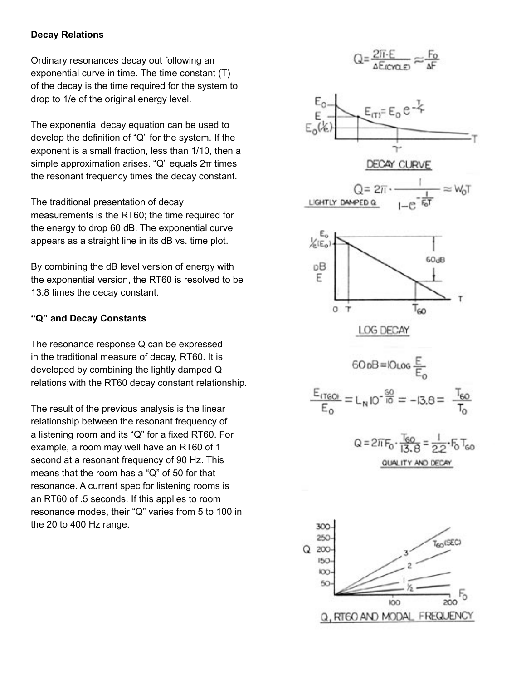#### **Decay Relations**

Ordinary resonances decay out following an exponential curve in time. The time constant (T) of the decay is the time required for the system to drop to 1/e of the original energy level.

The exponential decay equation can be used to develop the definition of "Q" for the system. If the exponent is a small fraction, less than 1/10, then a simple approximation arises. "Q" equals 2π times the resonant frequency times the decay constant.

The traditional presentation of decay measurements is the RT60; the time required for the energy to drop 60 dB. The exponential curve appears as a straight line in its dB vs. time plot.

By combining the dB level version of energy with the exponential version, the RT60 is resolved to be 13.8 times the decay constant.

## **"Q" and Decay Constants**

The resonance response Q can be expressed in the traditional measure of decay, RT60. It is developed by combining the lightly damped Q relations with the RT60 decay constant relationship.

The result of the previous analysis is the linear relationship between the resonant frequency of a listening room and its "Q" for a fixed RT60. For example, a room may well have an RT60 of 1 second at a resonant frequency of 90 Hz. This means that the room has a "Q" of 50 for that resonance. A current spec for listening rooms is an RT60 of .5 seconds. If this applies to room resonance modes, their "Q" varies from 5 to 100 in the 20 to 400 Hz range.

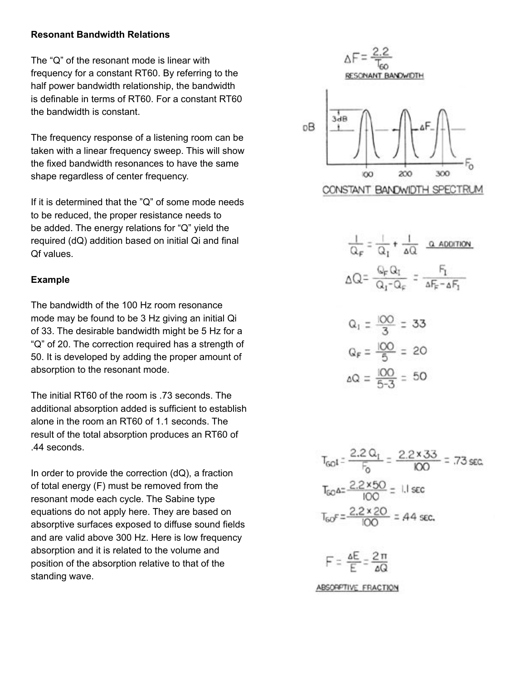### **Resonant Bandwidth Relations**

The "Q" of the resonant mode is linear with frequency for a constant RT60. By referring to the half power bandwidth relationship, the bandwidth is definable in terms of RT60. For a constant RT60 the bandwidth is constant.

The frequency response of a listening room can be taken with a linear frequency sweep. This will show the fixed bandwidth resonances to have the same shape regardless of center frequency.

If it is determined that the "Q" of some mode needs to be reduced, the proper resistance needs to be added. The energy relations for "Q" yield the required (dQ) addition based on initial Qi and final Qf values.

## **Example**

The bandwidth of the 100 Hz room resonance mode may be found to be 3 Hz giving an initial Qi of 33. The desirable bandwidth might be 5 Hz for a "Q" of 20. The correction required has a strength of 50. It is developed by adding the proper amount of absorption to the resonant mode.

The initial RT60 of the room is .73 seconds. The additional absorption added is sufficient to establish alone in the room an RT60 of 1.1 seconds. The result of the total absorption produces an RT60 of .44 seconds.

In order to provide the correction  $(dQ)$ , a fraction of total energy (F) must be removed from the resonant mode each cycle. The Sabine type equations do not apply here. They are based on absorptive surfaces exposed to diffuse sound fields and are valid above 300 Hz. Here is low frequency absorption and it is related to the volume and position of the absorption relative to that of the standing wave.



ЮO

200 CONSTANT BANDWIDTH SPECTRU

300

$$
\frac{1}{Q_F} = \frac{1}{Q_I} + \frac{1}{\Delta Q} \quad \frac{Q \text{ ADOTION}}{\Delta Q} = \frac{Q_F Q_I}{Q_I - Q_F} = \frac{F_I}{\Delta F_F - \Delta F_I}
$$

$$
Q_1 = \frac{100}{3} = 33
$$
  

$$
Q_F = \frac{100}{5} = 20
$$
  

$$
\Delta Q = \frac{100}{5 \cdot 3} = 50
$$

$$
T_{\text{GO}} = \frac{2.2 \, \Omega_{\text{T}}}{F_{\text{O}}} = \frac{2.2 \times 33}{100} = .73 \, \text{sec}
$$
\n
$$
T_{\text{GO}} = \frac{2.2 \times 50}{100} = .11 \, \text{sec}
$$
\n
$$
T_{\text{GO}} = \frac{2.2 \times 20}{100} = .44 \, \text{sec}
$$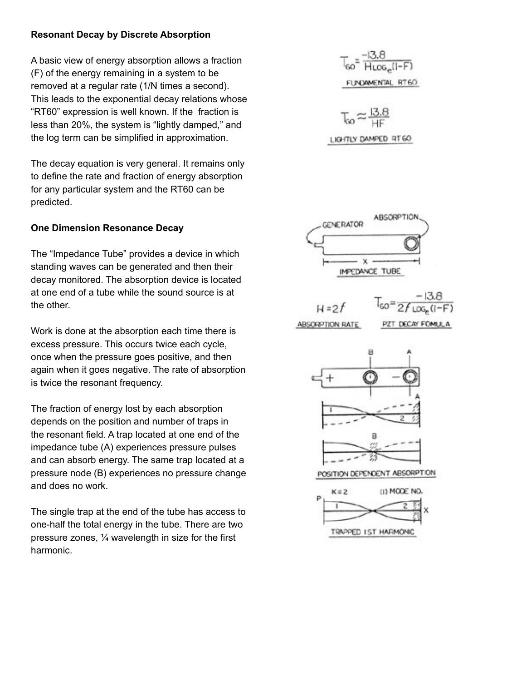## **Resonant Decay by Discrete Absorption**

A basic view of energy absorption allows a fraction (F) of the energy remaining in a system to be removed at a regular rate (1/N times a second). This leads to the exponential decay relations whose "RT60" expression is well known. If the fraction is less than 20%, the system is "lightly damped," and the log term can be simplified in approximation.

The decay equation is very general. It remains only to define the rate and fraction of energy absorption for any particular system and the RT60 can be predicted.

## **One Dimension Resonance Decay**

The "Impedance Tube" provides a device in which standing waves can be generated and then their decay monitored. The absorption device is located at one end of a tube while the sound source is at the other.

Work is done at the absorption each time there is excess pressure. This occurs twice each cycle, once when the pressure goes positive, and then again when it goes negative. The rate of absorption is twice the resonant frequency.

The fraction of energy lost by each absorption depends on the position and number of traps in the resonant field. A trap located at one end of the impedance tube (A) experiences pressure pulses and can absorb energy. The same trap located at a pressure node (B) experiences no pressure change and does no work.

The single trap at the end of the tube has access to one-half the total energy in the tube. There are two pressure zones, ¼ wavelength in size for the first harmonic.

$$
T_{60} = \frac{-13.8}{H_{LOG_e}(1-F)}
$$
  

LIGHTLY DAMPED RT60

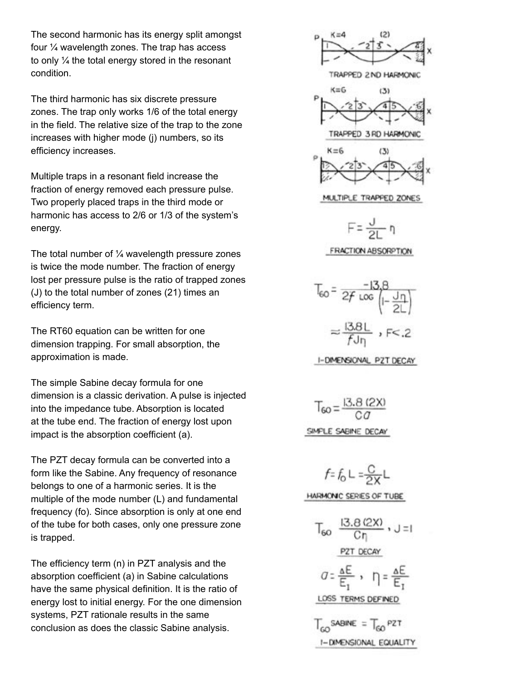The second harmonic has its energy split amongst four ¼ wavelength zones. The trap has access to only ¼ the total energy stored in the resonant condition.

The third harmonic has six discrete pressure zones. The trap only works 1/6 of the total energy in the field. The relative size of the trap to the zone increases with higher mode (j) numbers, so its efficiency increases.

Multiple traps in a resonant field increase the fraction of energy removed each pressure pulse. Two properly placed traps in the third mode or harmonic has access to 2/6 or 1/3 of the system's energy.

The total number of  $\frac{1}{4}$  wavelength pressure zones is twice the mode number. The fraction of energy lost per pressure pulse is the ratio of trapped zones (J) to the total number of zones (21) times an efficiency term.

The RT60 equation can be written for one dimension trapping. For small absorption, the approximation is made.

The simple Sabine decay formula for one dimension is a classic derivation. A pulse is injected into the impedance tube. Absorption is located at the tube end. The fraction of energy lost upon impact is the absorption coefficient (a).

The PZT decay formula can be converted into a form like the Sabine. Any frequency of resonance belongs to one of a harmonic series. It is the multiple of the mode number (L) and fundamental frequency (fo). Since absorption is only at one end of the tube for both cases, only one pressure zone is trapped.

The efficiency term (n) in PZT analysis and the absorption coefficient (a) in Sabine calculations have the same physical definition. It is the ratio of energy lost to initial energy. For the one dimension systems, PZT rationale results in the same conclusion as does the classic Sabine analysis.

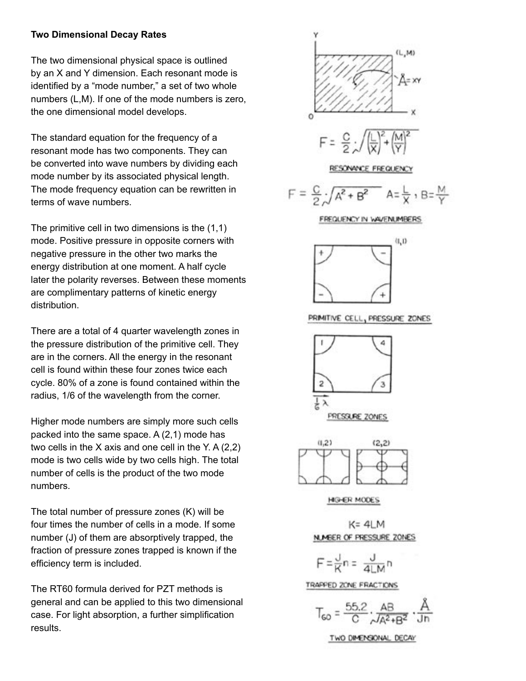## **Two Dimensional Decay Rates**

The two dimensional physical space is outlined by an X and Y dimension. Each resonant mode is identified by a "mode number," a set of two whole numbers (L,M). If one of the mode numbers is zero, the one dimensional model develops.

The standard equation for the frequency of a resonant mode has two components. They can be converted into wave numbers by dividing each mode number by its associated physical length. The mode frequency equation can be rewritten in terms of wave numbers.

The primitive cell in two dimensions is the (1,1) mode. Positive pressure in opposite corners with negative pressure in the other two marks the energy distribution at one moment. A half cycle later the polarity reverses. Between these moments are complimentary patterns of kinetic energy distribution.

There are a total of 4 quarter wavelength zones in the pressure distribution of the primitive cell. They are in the corners. All the energy in the resonant cell is found within these four zones twice each cycle. 80% of a zone is found contained within the radius, 1/6 of the wavelength from the corner.

Higher mode numbers are simply more such cells packed into the same space. A (2,1) mode has two cells in the X axis and one cell in the Y. A (2,2) mode is two cells wide by two cells high. The total number of cells is the product of the two mode numbers.

The total number of pressure zones (K) will be four times the number of cells in a mode. If some number (J) of them are absorptively trapped, the fraction of pressure zones trapped is known if the efficiency term is included.

The RT60 formula derived for PZT methods is general and can be applied to this two dimensional case. For light absorption, a further simplification results.

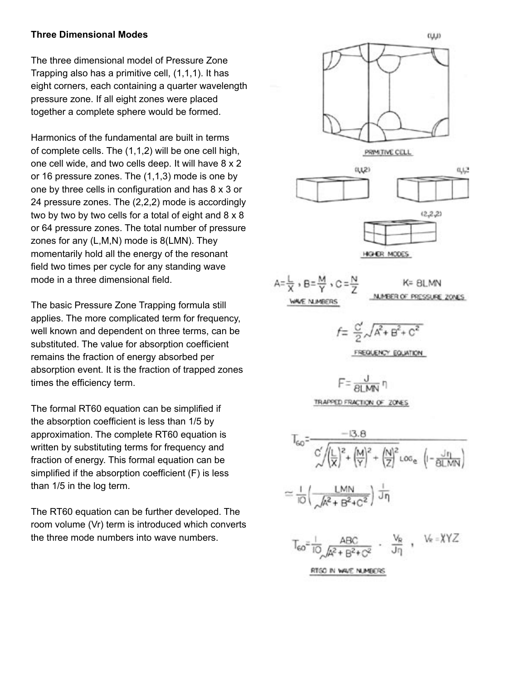#### **Three Dimensional Modes**

The three dimensional model of Pressure Zone Trapping also has a primitive cell, (1,1,1). It has eight corners, each containing a quarter wavelength pressure zone. If all eight zones were placed together a complete sphere would be formed.

Harmonics of the fundamental are built in terms of complete cells. The (1,1,2) will be one cell high, one cell wide, and two cells deep. It will have 8 x 2 or 16 pressure zones. The (1,1,3) mode is one by one by three cells in configuration and has 8 x 3 or 24 pressure zones. The (2,2,2) mode is accordingly two by two by two cells for a total of eight and 8 x 8 or 64 pressure zones. The total number of pressure zones for any (L,M,N) mode is 8(LMN). They momentarily hold all the energy of the resonant field two times per cycle for any standing wave mode in a three dimensional field.

The basic Pressure Zone Trapping formula still applies. The more complicated term for frequency, well known and dependent on three terms, can be substituted. The value for absorption coefficient remains the fraction of energy absorbed per absorption event. It is the fraction of trapped zones times the efficiency term.

The formal RT60 equation can be simplified if the absorption coefficient is less than 1/5 by approximation. The complete RT60 equation is written by substituting terms for frequency and fraction of energy. This formal equation can be simplified if the absorption coefficient (F) is less than 1/5 in the log term.

The RT60 equation can be further developed. The room volume (Vr) term is introduced which converts the three mode numbers into wave numbers.

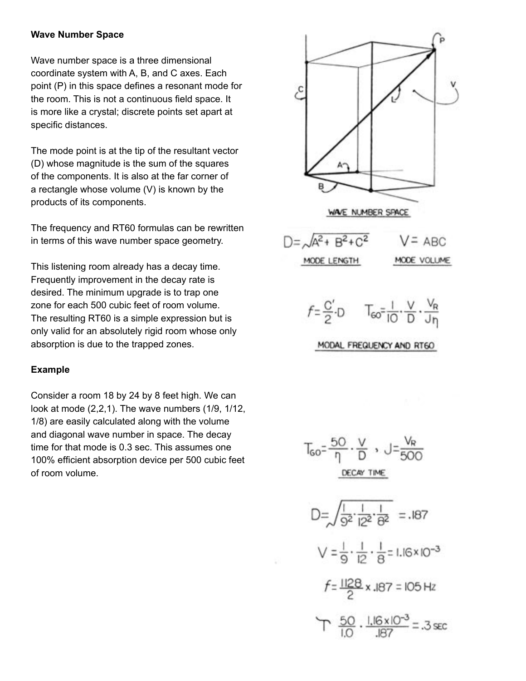### **Wave Number Space**

Wave number space is a three dimensional coordinate system with A, B, and C axes. Each point (P) in this space defines a resonant mode for the room. This is not a continuous field space. It is more like a crystal; discrete points set apart at specific distances.

The mode point is at the tip of the resultant vector (D) whose magnitude is the sum of the squares of the components. It is also at the far corner of a rectangle whose volume (V) is known by the products of its components.

The frequency and RT60 formulas can be rewritten in terms of this wave number space geometry.

This listening room already has a decay time. Frequently improvement in the decay rate is desired. The minimum upgrade is to trap one zone for each 500 cubic feet of room volume. The resulting RT60 is a simple expression but is only valid for an absolutely rigid room whose only absorption is due to the trapped zones.

## **Example**

Consider a room 18 by 24 by 8 feet high. We can look at mode (2,2,1). The wave numbers (1/9, 1/12, 1/8) are easily calculated along with the volume and diagonal wave number in space. The decay time for that mode is 0.3 sec. This assumes one 100% efficient absorption device per 500 cubic feet of room volume.

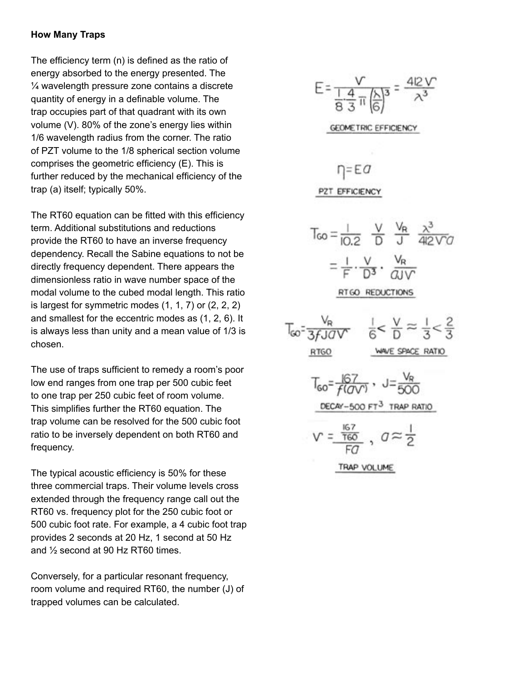## **How Many Traps**

The efficiency term (n) is defined as the ratio of energy absorbed to the energy presented. The  $\frac{1}{4}$  wavelength pressure zone contains a discrete quantity of energy in a definable volume. The trap occupies part of that quadrant with its own volume (V). 80% of the zone's energy lies within 1/6 wavelength radius from the corner. The ratio of PZT volume to the 1/8 spherical section volume comprises the geometric efficiency (E). This is further reduced by the mechanical efficiency of the trap (a) itself; typically 50%.

The RT60 equation can be fitted with this efficiency term. Additional substitutions and reductions provide the RT60 to have an inverse frequency dependency. Recall the Sabine equations to not be directly frequency dependent. There appears the dimensionless ratio in wave number space of the modal volume to the cubed modal length. This ratio is largest for symmetric modes (1, 1, 7) or (2, 2, 2) and smallest for the eccentric modes as (1, 2, 6). It is always less than unity and a mean value of 1/3 is chosen.

The use of traps sufficient to remedy a room's poor low end ranges from one trap per 500 cubic feet to one trap per 250 cubic feet of room volume. This simplifies further the RT60 equation. The trap volume can be resolved for the 500 cubic foot ratio to be inversely dependent on both RT60 and frequency.

The typical acoustic efficiency is 50% for these three commercial traps. Their volume levels cross extended through the frequency range call out the RT60 vs. frequency plot for the 250 cubic foot or 500 cubic foot rate. For example, a 4 cubic foot trap provides 2 seconds at 20 Hz, 1 second at 50 Hz and ½ second at 90 Hz RT60 times.

Conversely, for a particular resonant frequency, room volume and required RT60, the number (J) of trapped volumes can be calculated.

$$
E = \frac{V}{\frac{1.4}{8.3} \pi \left(\frac{X}{6}\right)^3} = \frac{412 V}{\lambda^3}
$$
  
\nGEOMETRY  
\n
$$
\frac{V}{100} = \frac{V}{10.2} = \frac{V}{10} = \frac{V}{10} = \frac{V}{10}
$$
  
\n
$$
T_{00} = \frac{1}{10.2} = \frac{V}{10} = \frac{V}{10} = \frac{V}{10}
$$
  
\n
$$
T_{00} = \frac{1}{10} = \frac{V}{10} = \frac{V}{10} = \frac{V}{10}
$$
  
\n
$$
\frac{RT_{00}}{100} = \frac{V_{R}}{100} = \frac{1}{100} = \frac{V}{10} = \frac{V}{10} = \frac{1}{3} < \frac{2}{3}
$$
  
\n
$$
T_{00} = \frac{167}{f(0) = 0} = \frac{V_{R}}{100} = \frac{V_{R}}{100}
$$
  
\n
$$
T_{00} = \frac{167}{f(0) = 0} = \frac{V_{R}}{100} = \frac{V}{100}
$$
  
\n
$$
T_{00} = \frac{167}{f(0) = 0} = \frac{V}{100} = \frac{V}{100}
$$
  
\n
$$
T_{00} = \frac{167}{f(0) = 0} = \frac{1}{100} = \frac{V}{100} = \frac{1}{2}
$$
  
\n
$$
T_{00} = \frac{1}{100} = \frac{V}{100} = \frac{1}{2}
$$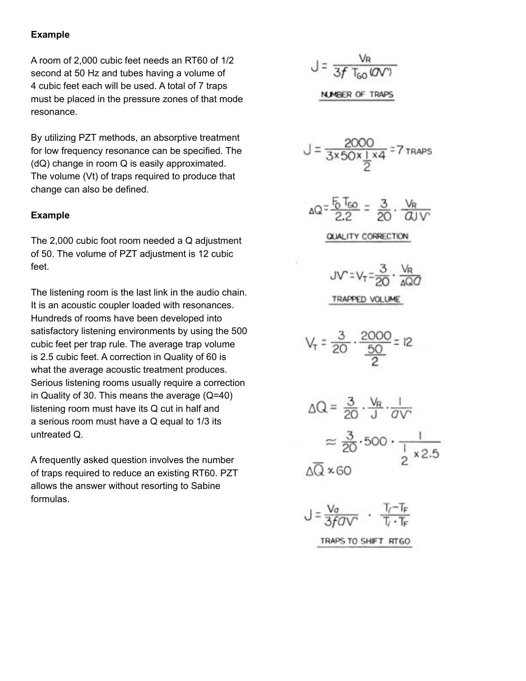#### **Example**

A room of 2,000 cubic feet needs an RT60 of 1/2 second at 50 Hz and tubes having a volume of 4 cubic feet each will be used. A total of 7 traps must be placed in the pressure zones of that mode resonance.

By utilizing PZT methods, an absorptive treatment for low frequency resonance can be specified. The (dQ) change in room Q is easily approximated. The volume (Vt) of traps required to produce that change can also be defined.

#### **Example**

The 2,000 cubic foot room needed a Q adjustment of 50. The volume of PZT adjustment is 12 cubic feet.

The listening room is the last link in the audio chain. It is an acoustic coupler loaded with resonances. Hundreds of rooms have been developed into satisfactory listening environments by using the 500 cubic feet per trap rule. The average trap volume is 2.5 cubic feet. A correction in Quality of 60 is what the average acoustic treatment produces. Serious listening rooms usually require a correction in Quality of 30. This means the average (Q=40) listening room must have its Q cut in half and a serious room must have a Q equal to 1/3 its untreated Q.

A frequently asked question involves the number of traps required to reduce an existing RT60. PZT allows the answer without resorting to Sabine formulas.

$$
J = \frac{V_R}{3f T_{60} (QV')}
$$
  
**NMBER OF TRAPS**

$$
J = \frac{2000}{3 \times 50 \times 1 \times 4} = 7 \text{ trans}
$$
\n
$$
\Delta Q = \frac{5 \text{ Teo}}{2.2} = \frac{3}{20} \cdot \frac{V_R}{dVV}
$$
\n
$$
\frac{QUV = V_T = \frac{3}{20} \cdot \frac{V_R}{dQV}}{VV} = \frac{3}{20} \cdot \frac{2000}{\frac{50}{2}} = 12
$$
\n
$$
\Delta Q = \frac{3}{20} \cdot \frac{V_R}{J} \cdot \frac{1}{dVV}
$$
\n
$$
\Delta Q = \frac{3}{20} \cdot \frac{V_R}{J} \cdot \frac{1}{dVV}
$$
\n
$$
\approx \frac{3}{20} \cdot 500 \cdot \frac{1}{1 \times 2.5}
$$
\n
$$
\Delta \overline{Q} \times 60
$$
\n
$$
J = \frac{V_0}{3 \times 60} \cdot \frac{V_T - T_F}{T_V \cdot T_F}
$$

TRAPS TO SHIFT RTGO